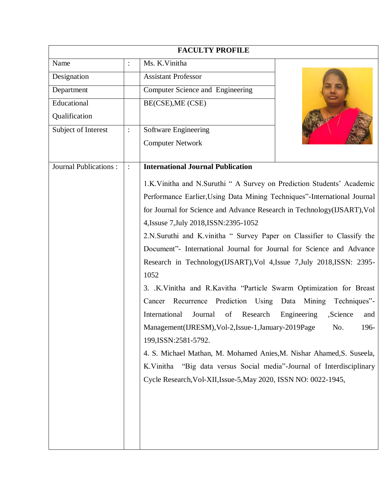| <b>FACULTY PROFILE</b>                                                 |                                                                      |                                                                          |                                                             |  |
|------------------------------------------------------------------------|----------------------------------------------------------------------|--------------------------------------------------------------------------|-------------------------------------------------------------|--|
| Name                                                                   | $\vdots$                                                             | Ms. K.Vinitha                                                            |                                                             |  |
| Designation                                                            |                                                                      | <b>Assistant Professor</b>                                               |                                                             |  |
| Department                                                             |                                                                      | Computer Science and Engineering                                         |                                                             |  |
| Educational                                                            |                                                                      | BE(CSE), ME (CSE)                                                        |                                                             |  |
| Qualification                                                          |                                                                      |                                                                          |                                                             |  |
| Subject of Interest                                                    |                                                                      | Software Engineering                                                     |                                                             |  |
|                                                                        |                                                                      | <b>Computer Network</b>                                                  |                                                             |  |
|                                                                        |                                                                      |                                                                          |                                                             |  |
| <b>Journal Publications:</b>                                           | $\vdots$                                                             | <b>International Journal Publication</b>                                 |                                                             |  |
|                                                                        |                                                                      | 1.K. Vinitha and N. Suruthi " A Survey on Prediction Students' Academic  |                                                             |  |
|                                                                        |                                                                      | Performance Earlier, Using Data Mining Techniques"-International Journal |                                                             |  |
|                                                                        |                                                                      | for Journal for Science and Advance Research in Technology(IJSART), Vol  |                                                             |  |
|                                                                        | 4, Issuse 7, July 2018, ISSN: 2395-1052                              |                                                                          |                                                             |  |
| 2.N.Suruthi and K.vinitha " Survey Paper on Classifier to Classify the |                                                                      |                                                                          |                                                             |  |
|                                                                        | Document"- International Journal for Journal for Science and Advance |                                                                          |                                                             |  |
|                                                                        |                                                                      | Research in Technology(IJSART), Vol 4, Issue 7, July 2018, ISSN: 2395-   |                                                             |  |
|                                                                        | 1052                                                                 |                                                                          |                                                             |  |
|                                                                        |                                                                      | 3. .K.Vinitha and R.Kavitha "Particle Swarm Optimization for Breast      |                                                             |  |
|                                                                        |                                                                      | Prediction Using Data<br>Recurrence<br>Cancer                            | Mining<br>Techniques"-                                      |  |
|                                                                        |                                                                      | International<br>Journal<br>of<br>Research                               | Engineering<br>,Science<br>and                              |  |
|                                                                        |                                                                      | Management(IJRESM), Vol-2, Issue-1, January-2019Page                     | No.<br>196-                                                 |  |
|                                                                        |                                                                      | 199, ISSN: 2581-5792.                                                    |                                                             |  |
|                                                                        |                                                                      | 4. S. Michael Mathan, M. Mohamed Anies, M. Nishar Ahamed, S. Suseela,    |                                                             |  |
|                                                                        |                                                                      | K.Vinitha                                                                | "Big data versus Social media"-Journal of Interdisciplinary |  |
|                                                                        |                                                                      | Cycle Research, Vol-XII, Issue-5, May 2020, ISSN NO: 0022-1945,          |                                                             |  |
|                                                                        |                                                                      |                                                                          |                                                             |  |
|                                                                        |                                                                      |                                                                          |                                                             |  |
|                                                                        |                                                                      |                                                                          |                                                             |  |
|                                                                        |                                                                      |                                                                          |                                                             |  |
|                                                                        |                                                                      |                                                                          |                                                             |  |